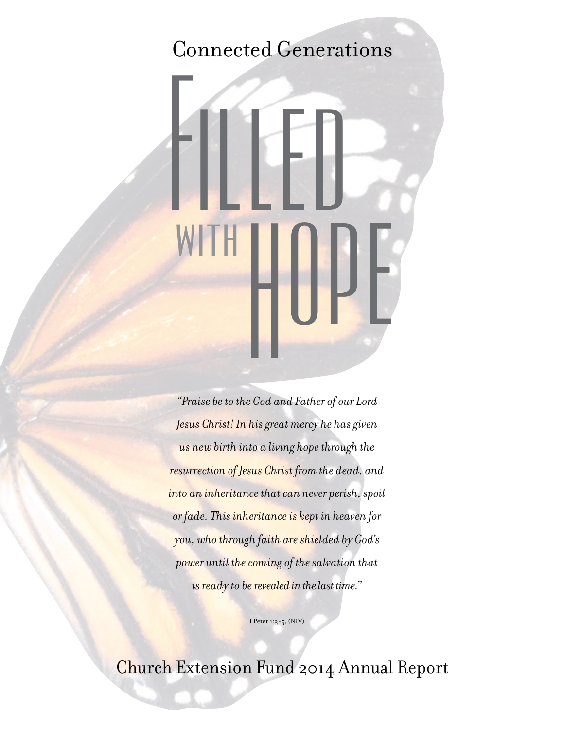#### Connected Generations

# Filled withHope

*"Praise be to the God and Father of our Lord Jesus Christ! In his great mercy he has given us new birth into a living hope through the resurrection of Jesus Christ from the dead, and into an inheritance that can never perish, spoil or fade. This inheritance is kept in heaven for you, who through faith are shielded by God's power until the coming of the salvation that is ready to be revealed in the last time."*

I Peter 1:3-5, (NIV)

Church Extension Fund 2014 Annual Report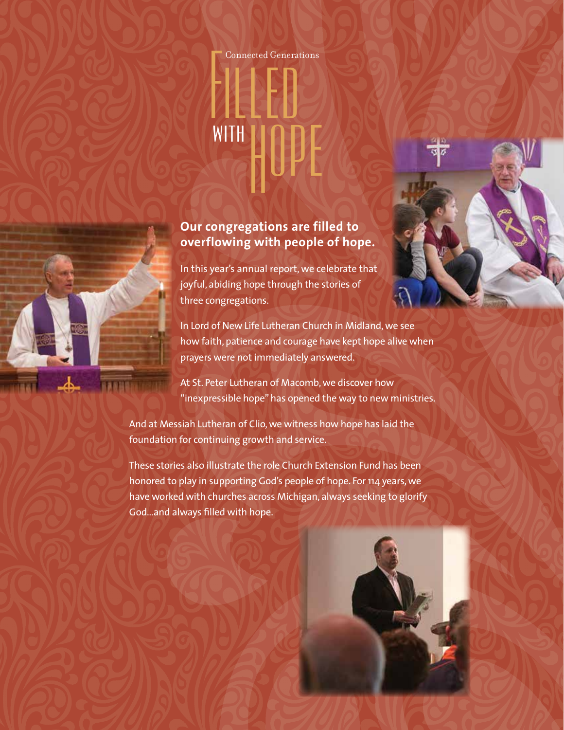# Connected Generations WITHHOPE

#### **Our congregations are filled to overflowing with people of hope.**

In this year's annual report, we celebrate that joyful, abiding hope through the stories of three congregations.

In Lord of New Life Lutheran Church in Midland, we see how faith, patience and courage have kept hope alive when prayers were not immediately answered.

At St. Peter Lutheran of Macomb, we discover how "inexpressible hope" has opened the way to new ministries.

And at Messiah Lutheran of Clio, we witness how hope has laid the foundation for continuing growth and service.

These stories also illustrate the role Church Extension Fund has been honored to play in supporting God's people of hope. For 114 years, we have worked with churches across Michigan, always seeking to glorify God…and always filled with hope.

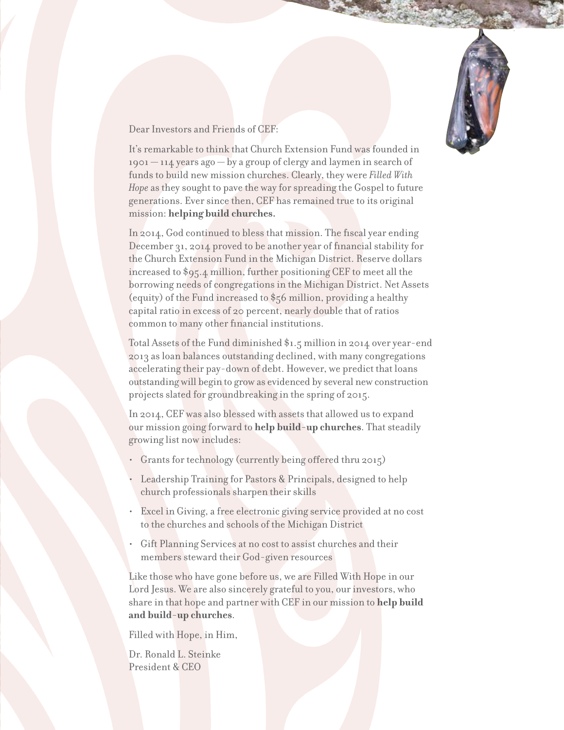

Dear Investors and Friends of CEF:

It's remarkable to think that Church Extension Fund was founded in 1901 — 114 years ago — by a group of clergy and laymen in search of funds to build new mission churches. Clearly, they were *Filled With Hope* as they sought to pave the way for spreading the Gospel to future generations. Ever since then, CEF has remained true to its original mission: **helping build churches.**

In 2014, God continued to bless that mission. The fiscal year ending December 31, 2014 proved to be another year of financial stability for the Church Extension Fund in the Michigan District. Reserve dollars increased to \$95.4 million, further positioning CEF to meet all the borrowing needs of congregations in the Michigan District. Net Assets (equity) of the Fund increased to \$56 million, providing a healthy capital ratio in excess of 20 percent, nearly double that of ratios common to many other financial institutions.

Total Assets of the Fund diminished \$1.5 million in 2014 over year-end 2013 as loan balances outstanding declined, with many congregations accelerating their pay-down of debt. However, we predict that loans outstanding will begin to grow as evidenced by several new construction projects slated for groundbreaking in the spring of 2015.

In 2014, CEF was also blessed with assets that allowed us to expand our mission going forward to **help build-up churches**. That steadily growing list now includes:

- Grants for technology (currently being offered thru 2015)
- Leadership Training for Pastors & Principals, designed to help church professionals sharpen their skills
- Excel in Giving, a free electronic giving service provided at no cost to the churches and schools of the Michigan District
- Gift Planning Services at no cost to assist churches and their members steward their God-given resources

Like those who have gone before us, we are Filled With Hope in our Lord Jesus. We are also sincerely grateful to you, our investors, who share in that hope and partner with CEF in our mission to **help build and build-up churches**.

Filled with Hope, in Him,

Dr. Ronald L. Steinke President & CEO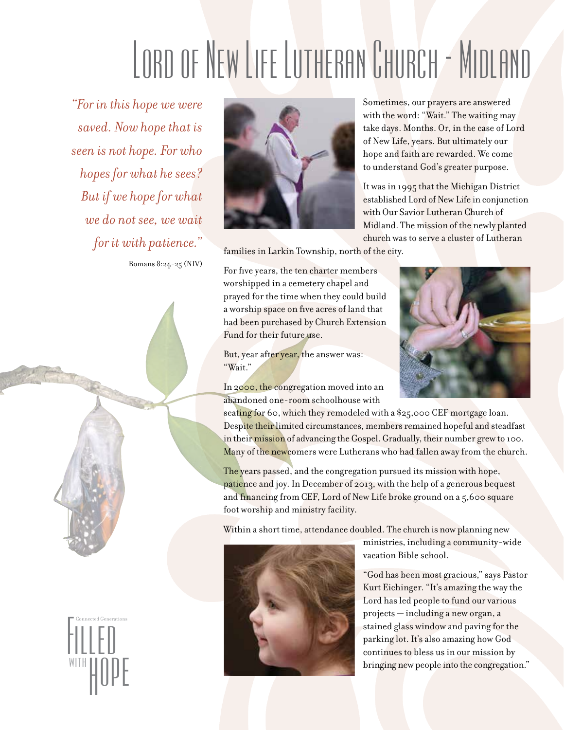## Lord of New Life Lutheran Church - Midland

*"For in this hope we were saved. Now hope that is seen is not hope. For who hopes for what he sees? But if we hope for what we do not see, we wait for it with patience."*

Romans 8:24-25 (NIV)



Sometimes, our prayers are answered with the word: "Wait." The waiting may take days. Months. Or, in the case of Lord of New Life, years. But ultimately our hope and faith are rewarded. We come to understand God's greater purpose.

It was in 1995 that the Michigan District established Lord of New Life in conjunction with Our Savior Lutheran Church of Midland. The mission of the newly planted church was to serve a cluster of Lutheran

families in Larkin Township, north of the city.

For five years, the ten charter members worshipped in a cemetery chapel and prayed for the time when they could build a worship space on five acres of land that had been purchased by Church Extension Fund for their future use.

But, year after year, the answer was: "Wait."

In 2000, the congregation moved into an abandoned one-room schoolhouse with



seating for 60, which they remodeled with a \$25,000 CEF mortgage loan. Despite their limited circumstances, members remained hopeful and steadfast in their mission of advancing the Gospel. Gradually, their number grew to 100. Many of the newcomers were Lutherans who had fallen away from the church.

The years passed, and the congregation pursued its mission with hope, patience and joy. In December of 2013, with the help of a generous bequest and financing from CEF, Lord of New Life broke ground on a 5,600 square foot worship and ministry facility.

Within a short time, attendance doubled. The church is now planning new



ministries, including a community-wide vacation Bible school.

"God has been most gracious," says Pastor Kurt Eichinger. "It's amazing the way the Lord has led people to fund our various projects — including a new organ, a stained glass window and paving for the parking lot. It's also amazing how God continues to bless us in our mission by bringing new people into the congregation."

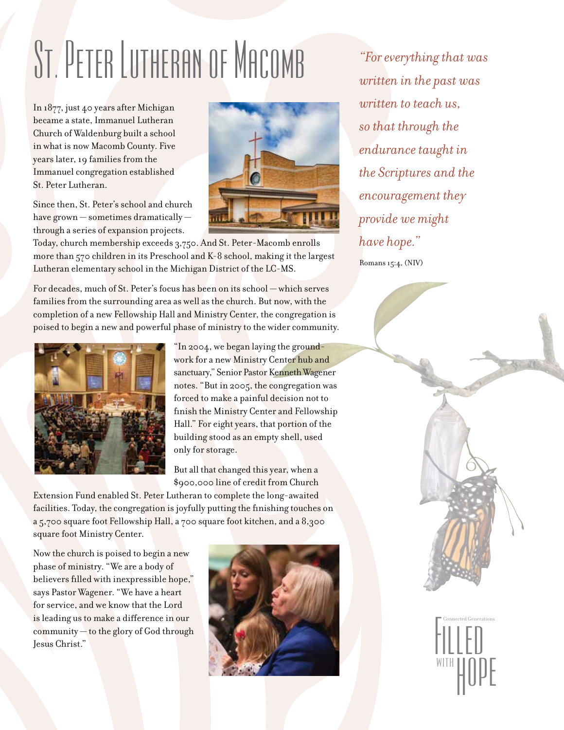## ST. PETER LUTHERAN OF MACOMB *"For everything that was*

In 1877, just 40 years after Michigan became a state, Immanuel Lutheran Church of Waldenburg built a school in what is now Macomb County. Five years later, 19 families from the Immanuel congregation established St. Peter Lutheran.

Since then, St. Peter's school and church have grown — sometimes dramatically through a series of expansion projects.



Today, church membership exceeds 3,750. And St. Peter-Macomb enrolls more than 570 children in its Preschool and K-8 school, making it the largest Lutheran elementary school in the Michigan District of the LC-MS.

For decades, much of St. Peter's focus has been on its school — which serves families from the surrounding area as well as the church. But now, with the completion of a new Fellowship Hall and Ministry Center, the congregation is poised to begin a new and powerful phase of ministry to the wider community.



"In 2004, we began laying the groundwork for a new Ministry Center hub and sanctuary," Senior Pastor Kenneth Wagener notes. "But in 2005, the congregation was forced to make a painful decision not to finish the Ministry Center and Fellowship Hall." For eight years, that portion of the building stood as an empty shell, used only for storage.

But all that changed this year, when a \$900,000 line of credit from Church

Extension Fund enabled St. Peter Lutheran to complete the long-awaited facilities. Today, the congregation is joyfully putting the finishing touches on a 5,700 square foot Fellowship Hall, a 700 square foot kitchen, and a 8,300 square foot Ministry Center.

Now the church is poised to begin a new phase of ministry. "We are a body of believers filled with inexpressible hope," says Pastor Wagener. "We have a heart for service, and we know that the Lord is leading us to make a difference in our community — to the glory of God through Jesus Christ."



*written in the past was written to teach us, so that through the endurance taught in the Scriptures and the encouragement they provide we might have hope."* Romans 15:4, (NIV)



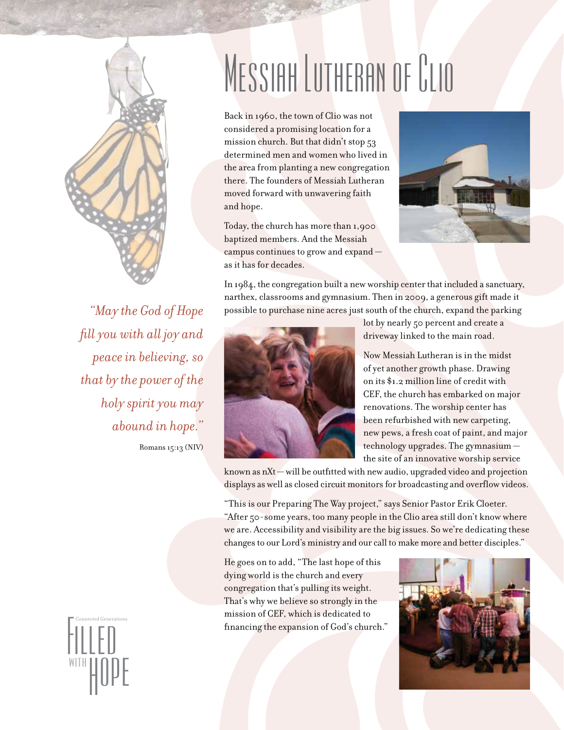

*"May the God of Hope fill you with all joy and peace in believing, so that by the power of the holy spirit you may abound in hope."*

Romans 15:13 (NIV)

Filled Generations WITH HOPE

#### MESSIAH LUTHERAN OF CLIO

Back in 1960, the town of Clio was not considered a promising location for a mission church. But that didn't stop 53 determined men and women who lived in the area from planting a new congregation there. The founders of Messiah Lutheran moved forward with unwavering faith and hope.

Today, the church has more than 1,900 baptized members. And the Messiah campus continues to grow and expand as it has for decades.



In 1984, the congregation built a new worship center that included a sanctuary, narthex, classrooms and gymnasium. Then in 2009, a generous gift made it possible to purchase nine acres just south of the church, expand the parking



lot by nearly 50 percent and create a driveway linked to the main road.

Now Messiah Lutheran is in the midst of yet another growth phase. Drawing on its \$1.2 million line of credit with CEF, the church has embarked on major renovations. The worship center has been refurbished with new carpeting, new pews, a fresh coat of paint, and major technology upgrades. The gymnasium the site of an innovative worship service

known as nXt — will be outfitted with new audio, upgraded video and projection displays as well as closed circuit monitors for broadcasting and overflow videos.

"This is our Preparing The Way project," says Senior Pastor Erik Cloeter. "After 50-some years, too many people in the Clio area still don't know where we are. Accessibility and visibility are the big issues. So we're dedicating these changes to our Lord's ministry and our call to make more and better disciples."

He goes on to add, "The last hope of this dying world is the church and every congregation that's pulling its weight. That's why we believe so strongly in the mission of CEF, which is dedicated to financing the expansion of God's church."

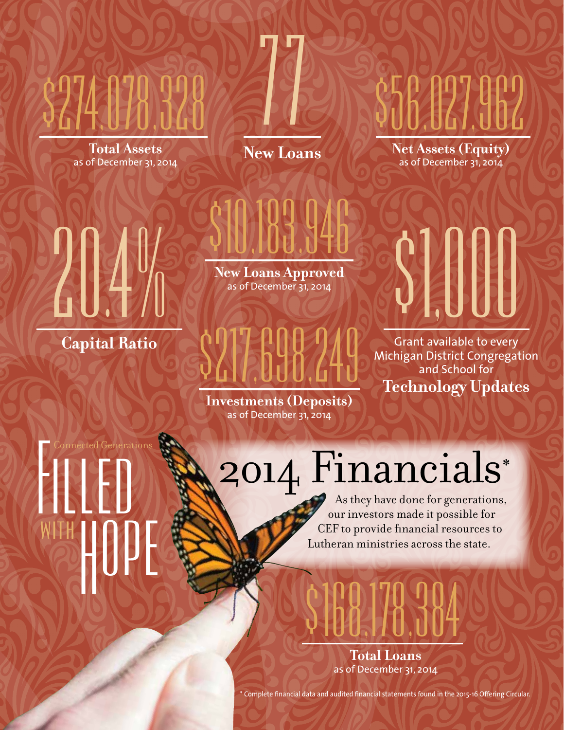

**Total Assets**  as of December 31, 2014

**New Loans**

77

**Net Assets (Equity)**  as of December 31, 2014 **16,17,1716** 

**New Loans Approved**  as of December  $31, 2014$ 

\$10,183,946

#### **Capital Ratio**

41

#### Grant available to every Michigan District Congregation and School for \$100

**Technology Updates**

**Investments (Deposits)**  as of December 31, 2014

\$217,698,249

Connected Generations WITH HOPE

### 2o14 Financials\*

As they have done for generations, our investors made it possible for CEF to provide financial resources to Lutheran ministries across the state.



\* Complete financial data and audited financial statements found in the 2015-16 Offering Circular.